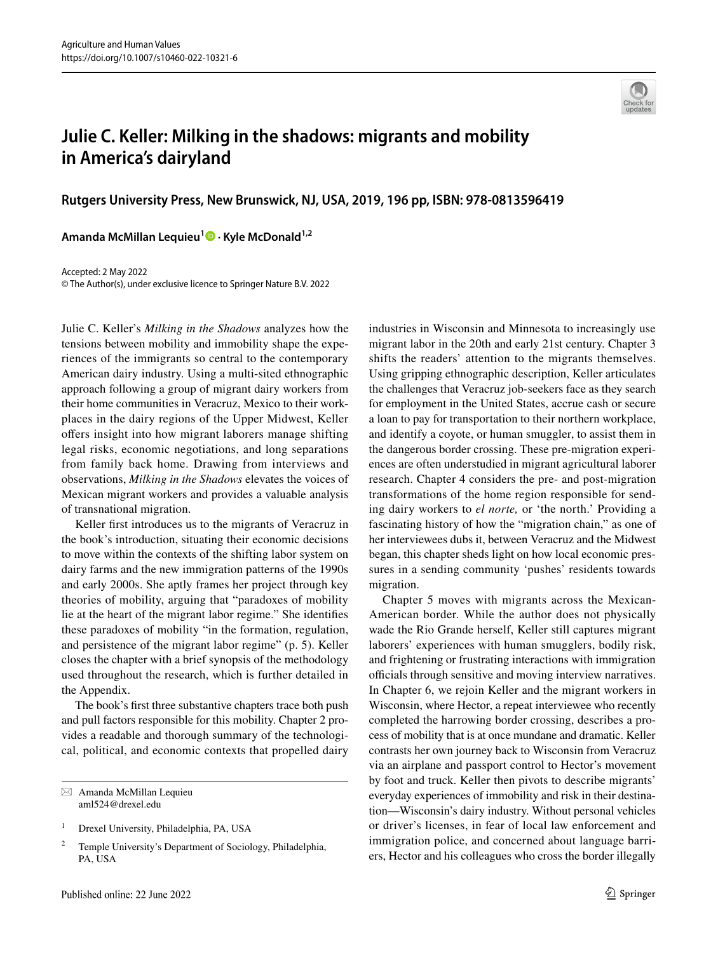

## **Julie C. Keller: Milking in the shadows: migrants and mobility in America's dairyland**

**Rutgers University Press, New Brunswick, NJ, USA, 2019, 196 pp, ISBN: 978-0813596419**

Amanda McMillan Lequieu<sup>1</sup><sup>0</sup> [·](http://orcid.org/0000-0001-5963-6888) Kyle McDonald<sup>1,2</sup>

Accepted: 2 May 2022 © The Author(s), under exclusive licence to Springer Nature B.V. 2022

Julie C. Keller's *Milking in the Shadows* analyzes how the tensions between mobility and immobility shape the experiences of the immigrants so central to the contemporary American dairy industry. Using a multi-sited ethnographic approach following a group of migrant dairy workers from their home communities in Veracruz, Mexico to their workplaces in the dairy regions of the Upper Midwest, Keller ofers insight into how migrant laborers manage shifting legal risks, economic negotiations, and long separations from family back home. Drawing from interviews and observations, *Milking in the Shadows* elevates the voices of Mexican migrant workers and provides a valuable analysis of transnational migration.

Keller frst introduces us to the migrants of Veracruz in the book's introduction, situating their economic decisions to move within the contexts of the shifting labor system on dairy farms and the new immigration patterns of the 1990s and early 2000s. She aptly frames her project through key theories of mobility, arguing that "paradoxes of mobility lie at the heart of the migrant labor regime." She identifes these paradoxes of mobility "in the formation, regulation, and persistence of the migrant labor regime" (p. 5). Keller closes the chapter with a brief synopsis of the methodology used throughout the research, which is further detailed in the Appendix.

The book's frst three substantive chapters trace both push and pull factors responsible for this mobility. Chapter 2 provides a readable and thorough summary of the technological, political, and economic contexts that propelled dairy

industries in Wisconsin and Minnesota to increasingly use migrant labor in the 20th and early 21st century. Chapter 3 shifts the readers' attention to the migrants themselves. Using gripping ethnographic description, Keller articulates the challenges that Veracruz job-seekers face as they search for employment in the United States, accrue cash or secure a loan to pay for transportation to their northern workplace, and identify a coyote, or human smuggler, to assist them in the dangerous border crossing. These pre-migration experiences are often understudied in migrant agricultural laborer research. Chapter 4 considers the pre- and post-migration transformations of the home region responsible for sending dairy workers to *el norte,* or 'the north.' Providing a fascinating history of how the "migration chain," as one of her interviewees dubs it, between Veracruz and the Midwest began, this chapter sheds light on how local economic pressures in a sending community 'pushes' residents towards migration.

Chapter 5 moves with migrants across the Mexican-American border. While the author does not physically wade the Rio Grande herself, Keller still captures migrant laborers' experiences with human smugglers, bodily risk, and frightening or frustrating interactions with immigration officials through sensitive and moving interview narratives. In Chapter 6, we rejoin Keller and the migrant workers in Wisconsin, where Hector, a repeat interviewee who recently completed the harrowing border crossing, describes a process of mobility that is at once mundane and dramatic. Keller contrasts her own journey back to Wisconsin from Veracruz via an airplane and passport control to Hector's movement by foot and truck. Keller then pivots to describe migrants' everyday experiences of immobility and risk in their destination—Wisconsin's dairy industry. Without personal vehicles or driver's licenses, in fear of local law enforcement and immigration police, and concerned about language barriers, Hector and his colleagues who cross the border illegally

 $\boxtimes$  Amanda McMillan Lequieu aml524@drexel.edu

<sup>&</sup>lt;sup>1</sup> Drexel University, Philadelphia, PA, USA

<sup>&</sup>lt;sup>2</sup> Temple University's Department of Sociology, Philadelphia, PA, USA